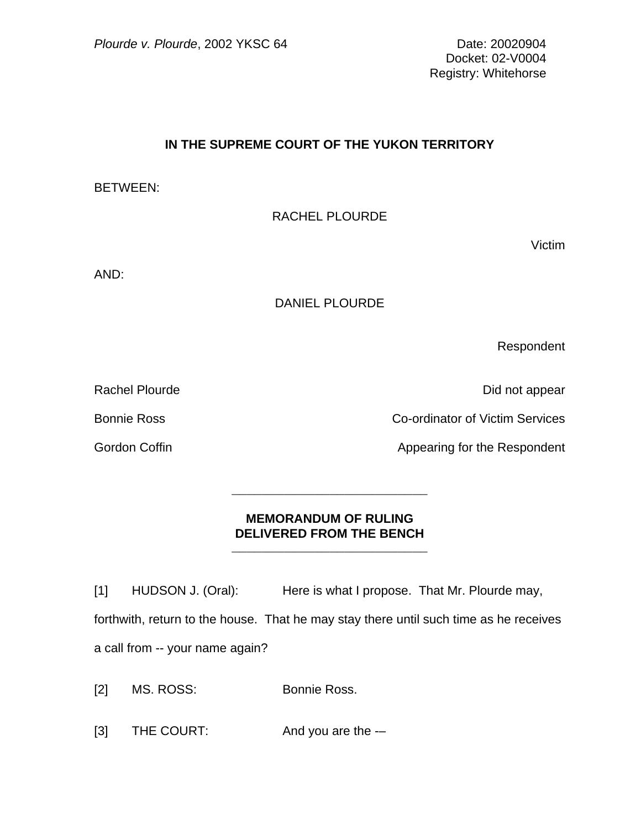Docket: 02-V0004 Registry: Whitehorse

## **IN THE SUPREME COURT OF THE YUKON TERRITORY**

BETWEEN:

RACHEL PLOURDE

Victim

AND:

## DANIEL PLOURDE

Respondent

Rachel Plourde **Did not appear** 

Bonnie Ross Co-ordinator of Victim Services

Gordon Coffin **Appearing for the Respondent** Appearing for the Respondent

## **MEMORANDUM OF RULING DELIVERED FROM THE BENCH**

\_\_\_\_\_\_\_\_\_\_\_\_\_\_\_\_\_\_\_\_\_\_\_\_\_\_

\_\_\_\_\_\_\_\_\_\_\_\_\_\_\_\_\_\_\_\_\_\_\_\_\_\_

[1] HUDSON J. (Oral): Here is what I propose. That Mr. Plourde may, forthwith, return to the house. That he may stay there until such time as he receives a call from -- your name again?

[2] MS. ROSS: Bonnie Ross.

[3] THE COURT: And you are the --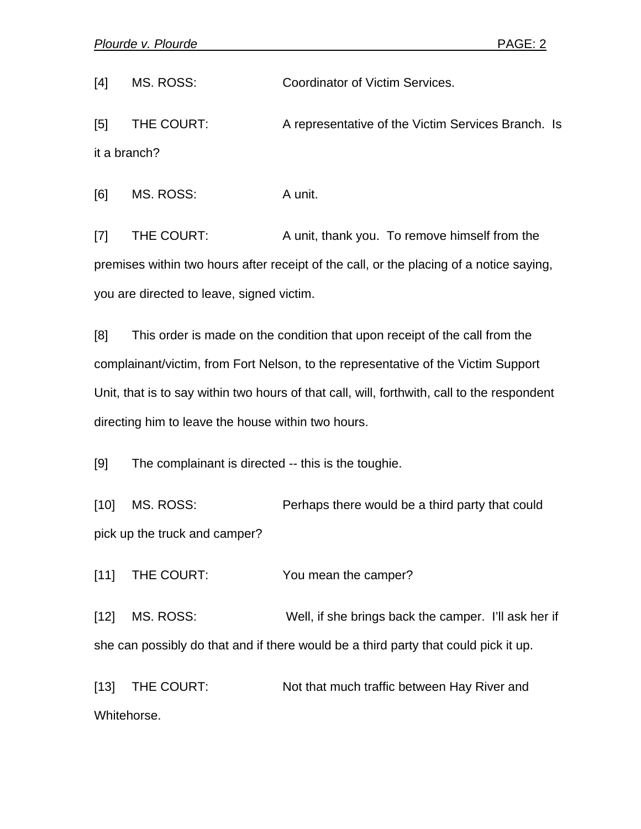[4] MS. ROSS: Coordinator of Victim Services.

[5] THE COURT: A representative of the Victim Services Branch. Is it a branch?

[6] MS. ROSS: A unit.

[7] THE COURT: A unit, thank you. To remove himself from the premises within two hours after receipt of the call, or the placing of a notice saying, you are directed to leave, signed victim.

[8] This order is made on the condition that upon receipt of the call from the complainant/victim, from Fort Nelson, to the representative of the Victim Support Unit, that is to say within two hours of that call, will, forthwith, call to the respondent directing him to leave the house within two hours.

[9] The complainant is directed -- this is the toughie.

[10] MS. ROSS: Perhaps there would be a third party that could pick up the truck and camper?

[11] THE COURT: You mean the camper?

[12] MS. ROSS: Well, if she brings back the camper. I'll ask her if she can possibly do that and if there would be a third party that could pick it up.

[13] THE COURT: Not that much traffic between Hay River and Whitehorse.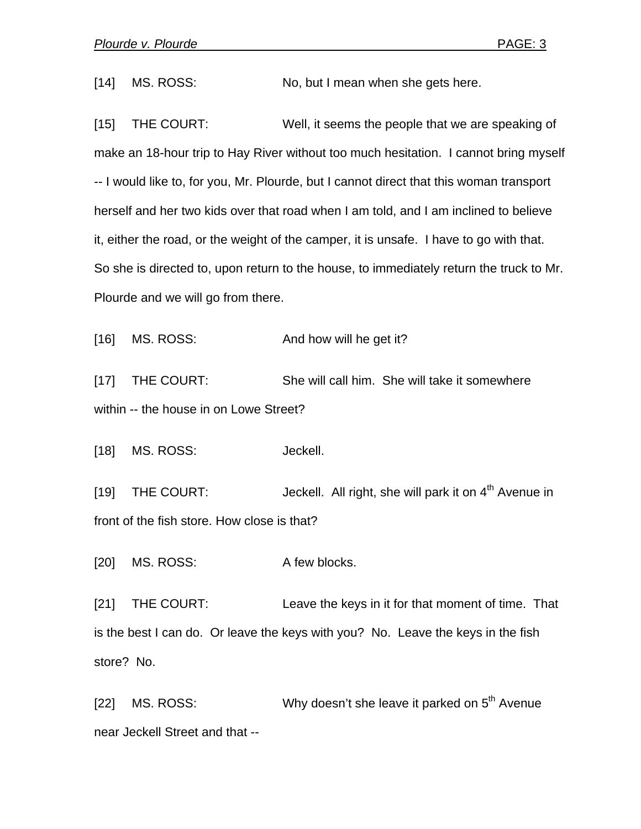[14] MS. ROSS: No, but I mean when she gets here.

[15] THE COURT: Well, it seems the people that we are speaking of make an 18-hour trip to Hay River without too much hesitation. I cannot bring myself -- I would like to, for you, Mr. Plourde, but I cannot direct that this woman transport herself and her two kids over that road when I am told, and I am inclined to believe it, either the road, or the weight of the camper, it is unsafe. I have to go with that. So she is directed to, upon return to the house, to immediately return the truck to Mr. Plourde and we will go from there.

[16] MS. ROSS: And how will he get it?

[17] THE COURT: She will call him. She will take it somewhere within -- the house in on Lowe Street?

[18] MS. ROSS: Jeckell.

[19] THE COURT:  $Jeckell$ . All right, she will park it on  $4<sup>th</sup>$  Avenue in front of the fish store. How close is that?

[20] MS. ROSS: A few blocks.

[21] THE COURT: Leave the keys in it for that moment of time. That is the best I can do. Or leave the keys with you? No. Leave the keys in the fish store? No.

[22] MS. ROSS: Why doesn't she leave it parked on  $5<sup>th</sup>$  Avenue near Jeckell Street and that --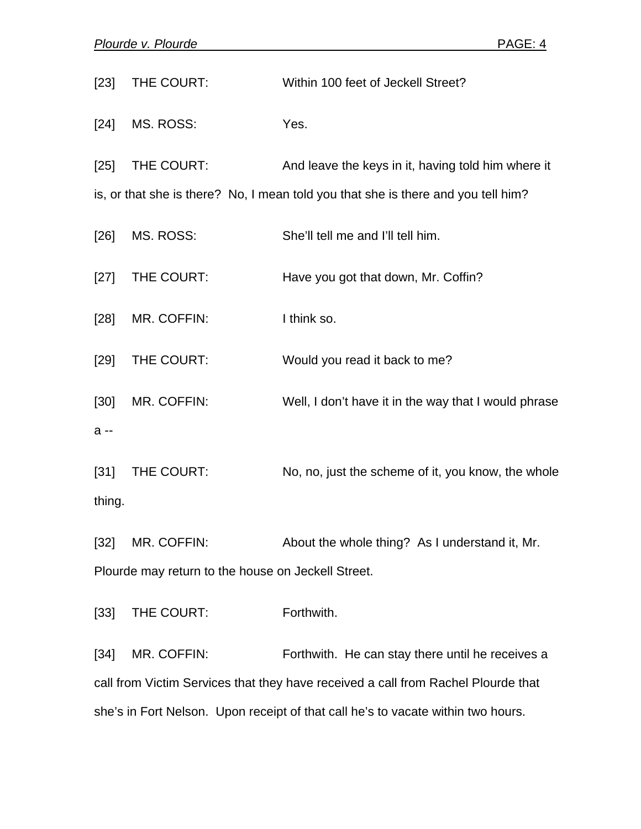| $[23]$                                                                            | THE COURT:  | Within 100 feet of Jeckell Street?                   |
|-----------------------------------------------------------------------------------|-------------|------------------------------------------------------|
| $[24]$                                                                            | MS. ROSS:   | Yes.                                                 |
| $[25]$                                                                            | THE COURT:  | And leave the keys in it, having told him where it   |
| is, or that she is there? No, I mean told you that she is there and you tell him? |             |                                                      |
| $[26]$                                                                            | MS. ROSS:   | She'll tell me and I'll tell him.                    |
| $[27]$                                                                            | THE COURT:  | Have you got that down, Mr. Coffin?                  |
| $[28]$                                                                            | MR. COFFIN: | I think so.                                          |
| $[29]$                                                                            | THE COURT:  | Would you read it back to me?                        |
| $[30]$                                                                            | MR. COFFIN: | Well, I don't have it in the way that I would phrase |
| $a -$                                                                             |             |                                                      |
| $[31]$                                                                            | THE COURT:  | No, no, just the scheme of it, you know, the whole   |
| thing.                                                                            |             |                                                      |
|                                                                                   |             |                                                      |

[32] MR. COFFIN: About the whole thing? As I understand it, Mr. Plourde may return to the house on Jeckell Street.

[33] THE COURT: Forthwith.

[34] MR. COFFIN: Forthwith. He can stay there until he receives a call from Victim Services that they have received a call from Rachel Plourde that she's in Fort Nelson. Upon receipt of that call he's to vacate within two hours.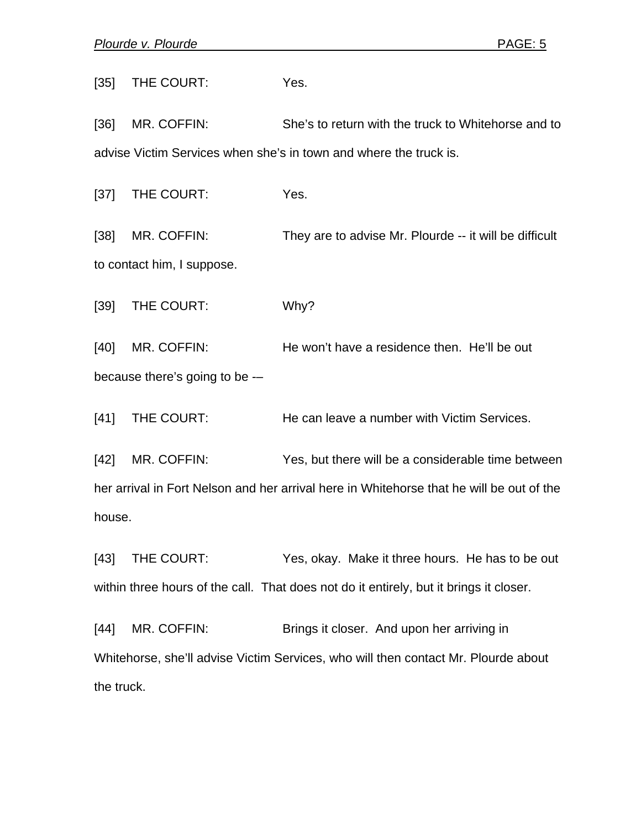[35] THE COURT: Yes.

[36] MR. COFFIN: She's to return with the truck to Whitehorse and to advise Victim Services when she's in town and where the truck is.

[37] THE COURT: Yes.

[38] MR. COFFIN: They are to advise Mr. Plourde -- it will be difficult to contact him, I suppose.

[39] THE COURT: Why?

[40] MR. COFFIN: He won't have a residence then. He'll be out because there's going to be -–

[41] THE COURT: He can leave a number with Victim Services.

[42] MR. COFFIN: Yes, but there will be a considerable time between her arrival in Fort Nelson and her arrival here in Whitehorse that he will be out of the house.

[43] THE COURT: Yes, okay. Make it three hours. He has to be out within three hours of the call. That does not do it entirely, but it brings it closer.

[44] MR. COFFIN: Brings it closer. And upon her arriving in Whitehorse, she'll advise Victim Services, who will then contact Mr. Plourde about the truck.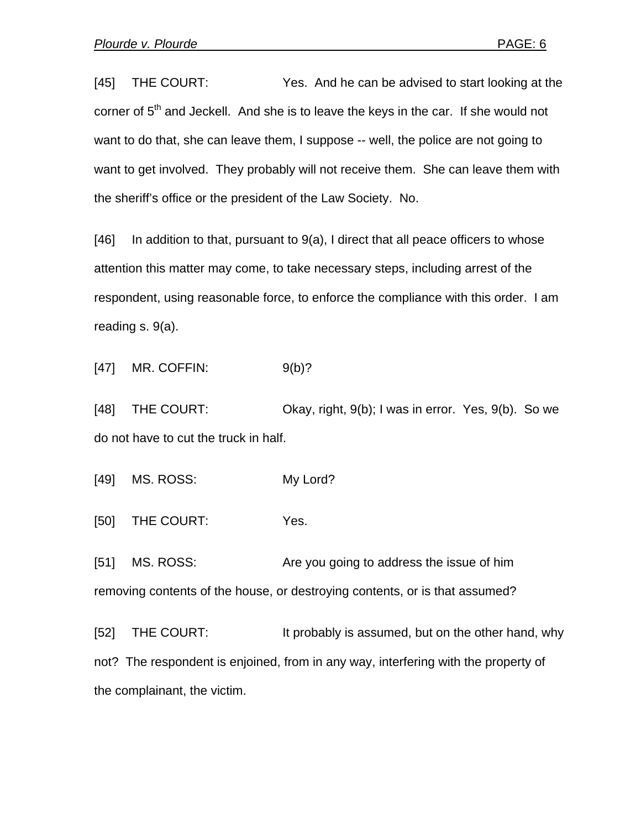[45] THE COURT: Yes. And he can be advised to start looking at the corner of  $5<sup>th</sup>$  and Jeckell. And she is to leave the keys in the car. If she would not want to do that, she can leave them, I suppose -- well, the police are not going to want to get involved. They probably will not receive them. She can leave them with the sheriff's office or the president of the Law Society. No.

[46] In addition to that, pursuant to 9(a), I direct that all peace officers to whose attention this matter may come, to take necessary steps, including arrest of the respondent, using reasonable force, to enforce the compliance with this order. I am reading s. 9(a).

[47] MR. COFFIN: 9(b)?

[48] THE COURT: Chay, right, 9(b); I was in error. Yes, 9(b). So we do not have to cut the truck in half.

[49] MS. ROSS: My Lord?

[50] THE COURT: Yes.

[51] MS. ROSS: Are you going to address the issue of him removing contents of the house, or destroying contents, or is that assumed?

[52] THE COURT: It probably is assumed, but on the other hand, why not? The respondent is enjoined, from in any way, interfering with the property of the complainant, the victim.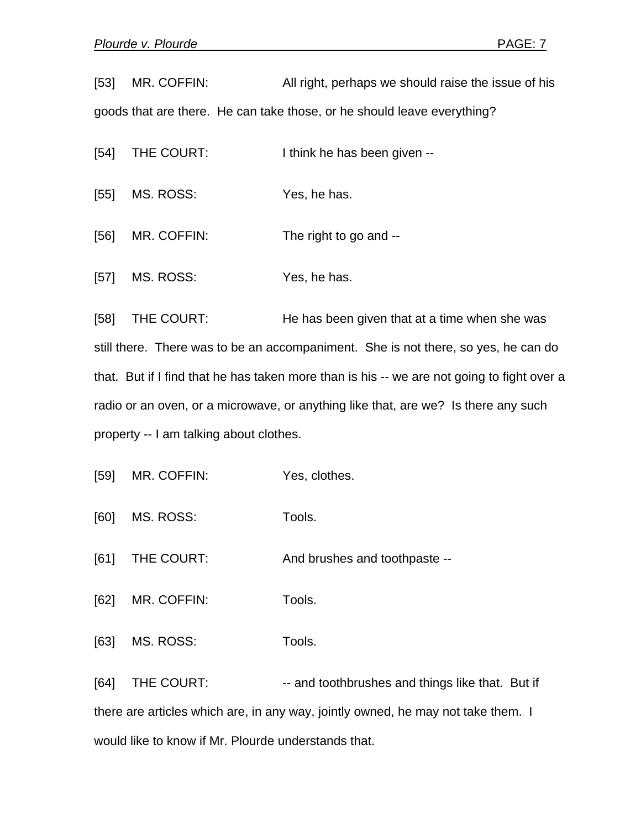[53] MR. COFFIN: All right, perhaps we should raise the issue of his goods that are there. He can take those, or he should leave everything?

[54] THE COURT: I think he has been given --

[55] MS. ROSS: Yes, he has.

[56] MR. COFFIN: The right to go and --

[57] MS. ROSS: Yes, he has.

[58] THE COURT: He has been given that at a time when she was still there. There was to be an accompaniment. She is not there, so yes, he can do that. But if I find that he has taken more than is his -- we are not going to fight over a radio or an oven, or a microwave, or anything like that, are we? Is there any such property -- I am talking about clothes.

[59] MR. COFFIN: Yes, clothes.

[60] MS. ROSS: Tools.

[61] THE COURT: And brushes and toothpaste --

[62] MR. COFFIN: Tools.

[63] MS. ROSS: Tools.

[64] THE COURT: -- and toothbrushes and things like that. But if there are articles which are, in any way, jointly owned, he may not take them. I would like to know if Mr. Plourde understands that.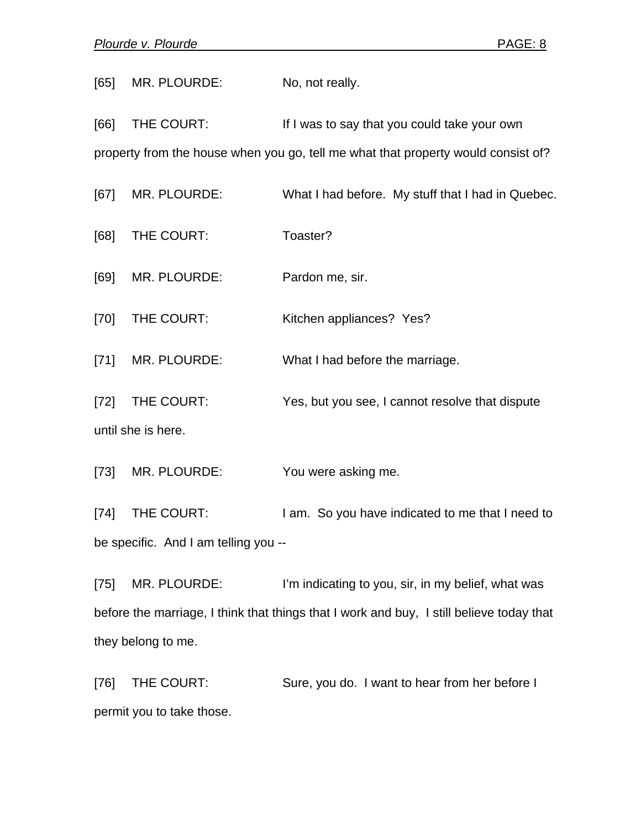[65] MR. PLOURDE: No, not really. [66] THE COURT: If I was to say that you could take your own property from the house when you go, tell me what that property would consist of? [67] MR. PLOURDE: What I had before. My stuff that I had in Quebec. [68] THE COURT: Toaster? [69] MR. PLOURDE: Pardon me, sir. [70] THE COURT: Kitchen appliances? Yes? [71] MR. PLOURDE: What I had before the marriage. [72] THE COURT: Yes, but you see, I cannot resolve that dispute until she is here. [73] MR. PLOURDE: You were asking me.

[74] THE COURT: I am. So you have indicated to me that I need to be specific. And I am telling you --

[75] MR. PLOURDE: I'm indicating to you, sir, in my belief, what was before the marriage, I think that things that I work and buy, I still believe today that they belong to me.

[76] THE COURT: Sure, you do. I want to hear from her before I permit you to take those.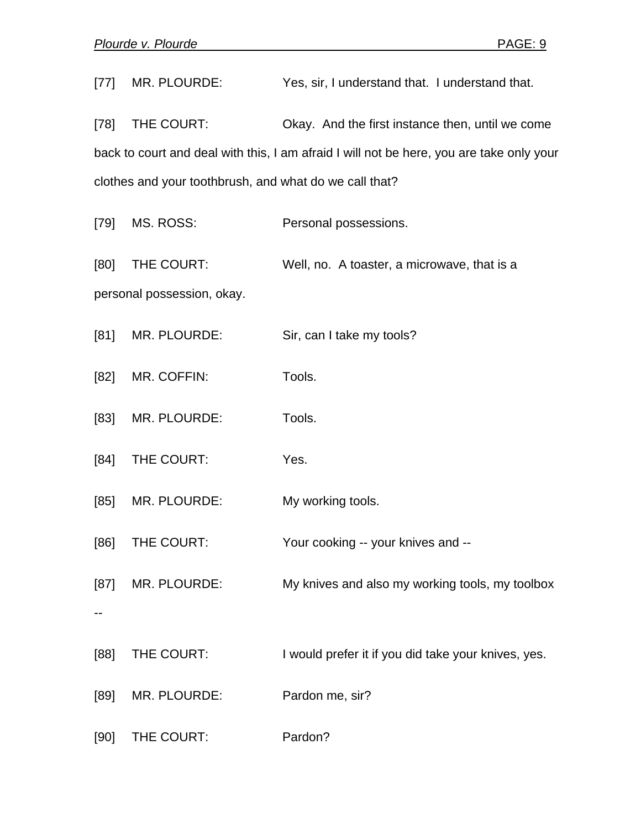[77] MR. PLOURDE: Yes, sir, I understand that. I understand that. [78] THE COURT: Okay. And the first instance then, until we come back to court and deal with this, I am afraid I will not be here, you are take only your clothes and your toothbrush, and what do we call that? [79] MS. ROSS: Personal possessions. [80] THE COURT: Well, no. A toaster, a microwave, that is a personal possession, okay. [81] MR. PLOURDE: Sir, can I take my tools? [82] MR. COFFIN: Tools. [83] MR. PLOURDE: Tools. [84] THE COURT: Yes. [85] MR. PLOURDE: My working tools. [86] THE COURT: Your cooking -- your knives and --[87] MR. PLOURDE: My knives and also my working tools, my toolbox -- [88] THE COURT: I would prefer it if you did take your knives, yes. [89] MR. PLOURDE: Pardon me, sir? [90] THE COURT: Pardon?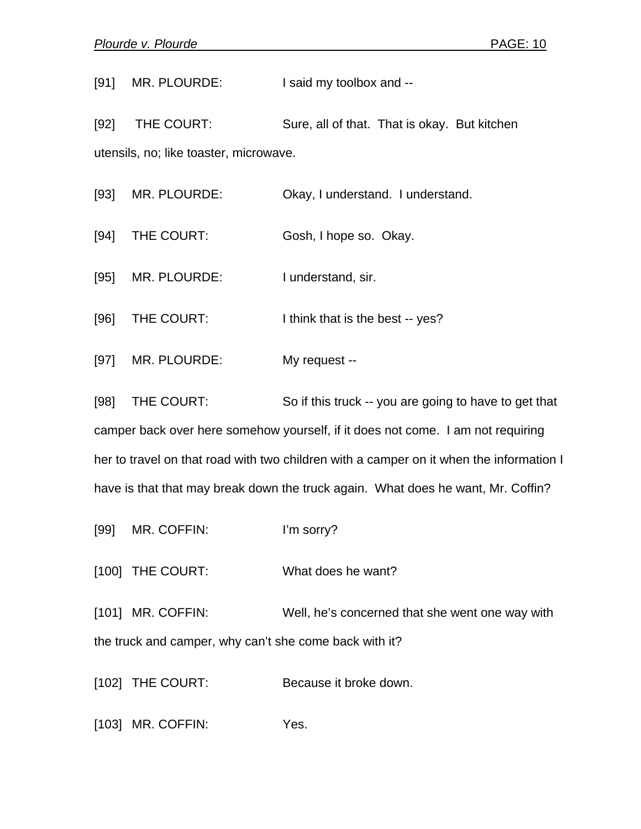[91] MR. PLOURDE: I said my toolbox and --

[92] THE COURT: Sure, all of that. That is okay. But kitchen utensils, no; like toaster, microwave.

[93] MR. PLOURDE: Okay, I understand. I understand.

[94] THE COURT: Gosh, I hope so. Okay.

[95] MR. PLOURDE: I understand, sir.

[96] THE COURT: I think that is the best -- yes?

[97] MR. PLOURDE: My request --

[98] THE COURT: So if this truck -- you are going to have to get that camper back over here somehow yourself, if it does not come. I am not requiring her to travel on that road with two children with a camper on it when the information I have is that that may break down the truck again. What does he want, Mr. Coffin?

[99] MR. COFFIN: I'm sorry?

[100] THE COURT: What does he want?

[101] MR. COFFIN: Well, he's concerned that she went one way with the truck and camper, why can't she come back with it?

[102] THE COURT: Because it broke down.

[103] MR. COFFIN: Yes.